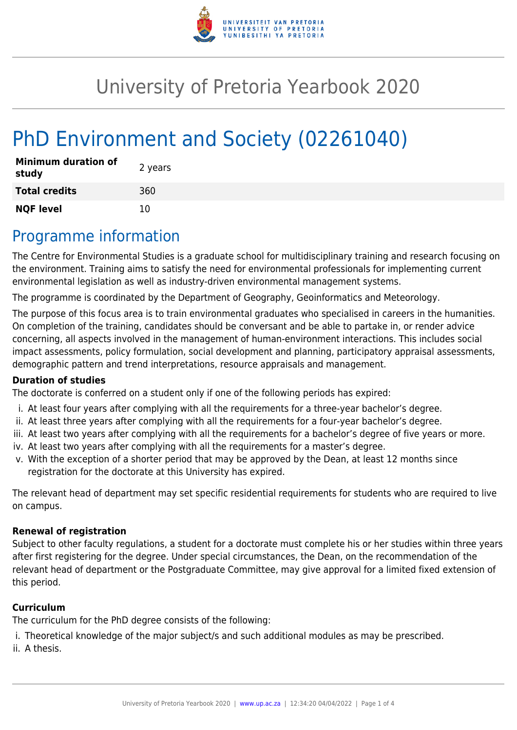

# University of Pretoria Yearbook 2020

# PhD Environment and Society (02261040)

| <b>Minimum duration of</b><br>study | 2 years |
|-------------------------------------|---------|
| <b>Total credits</b>                | 360     |
| <b>NQF level</b>                    | 10      |

## Programme information

The Centre for Environmental Studies is a graduate school for multidisciplinary training and research focusing on the environment. Training aims to satisfy the need for environmental professionals for implementing current environmental legislation as well as industry-driven environmental management systems.

The programme is coordinated by the Department of Geography, Geoinformatics and Meteorology.

The purpose of this focus area is to train environmental graduates who specialised in careers in the humanities. On completion of the training, candidates should be conversant and be able to partake in, or render advice concerning, all aspects involved in the management of human-environment interactions. This includes social impact assessments, policy formulation, social development and planning, participatory appraisal assessments, demographic pattern and trend interpretations, resource appraisals and management.

#### **Duration of studies**

The doctorate is conferred on a student only if one of the following periods has expired:

- i. At least four years after complying with all the requirements for a three-year bachelor's degree.
- ii. At least three years after complying with all the requirements for a four-year bachelor's degree.
- iii. At least two years after complying with all the requirements for a bachelor's degree of five years or more.
- iv. At least two years after complying with all the requirements for a master's degree.
- v. With the exception of a shorter period that may be approved by the Dean, at least 12 months since registration for the doctorate at this University has expired.

The relevant head of department may set specific residential requirements for students who are required to live on campus.

#### **Renewal of registration**

Subject to other faculty regulations, a student for a doctorate must complete his or her studies within three years after first registering for the degree. Under special circumstances, the Dean, on the recommendation of the relevant head of department or the Postgraduate Committee, may give approval for a limited fixed extension of this period.

#### **Curriculum**

The curriculum for the PhD degree consists of the following:

i. Theoretical knowledge of the major subject/s and such additional modules as may be prescribed.

ii. A thesis.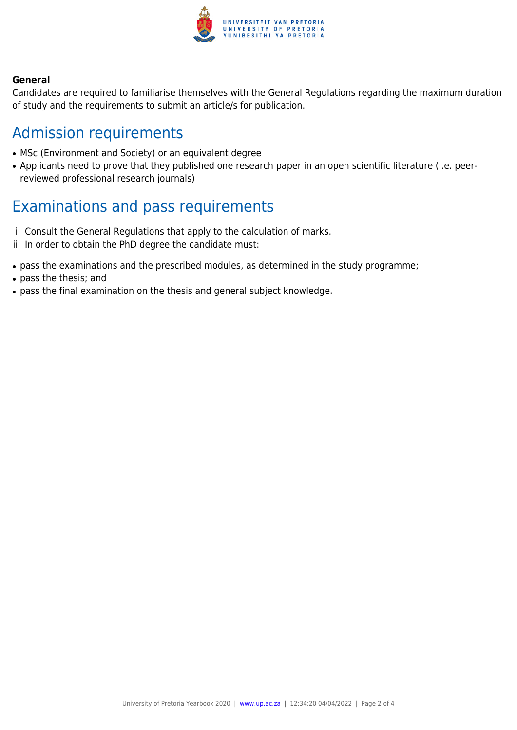

#### **General**

Candidates are required to familiarise themselves with the General Regulations regarding the maximum duration of study and the requirements to submit an article/s for publication.

### Admission requirements

- MSc (Environment and Society) or an equivalent degree
- Applicants need to prove that they published one research paper in an open scientific literature (i.e. peerreviewed professional research journals)

### Examinations and pass requirements

- i. Consult the General Regulations that apply to the calculation of marks.
- ii. In order to obtain the PhD degree the candidate must:
- pass the examinations and the prescribed modules, as determined in the study programme;
- pass the thesis; and
- pass the final examination on the thesis and general subject knowledge.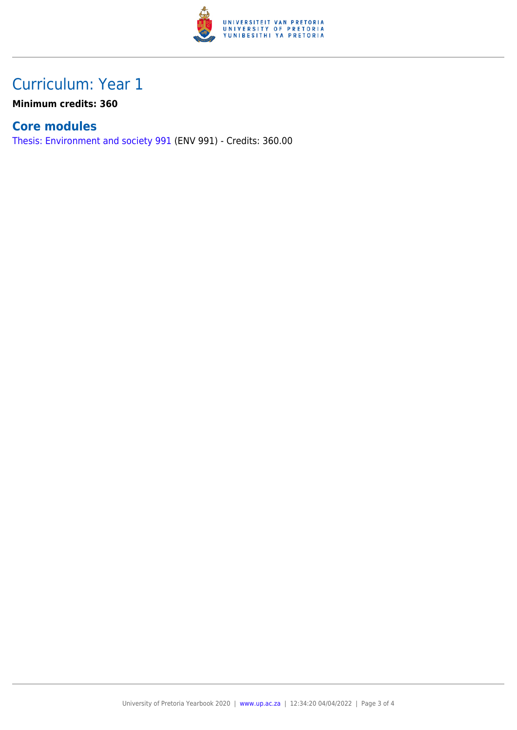

## Curriculum: Year 1

**Minimum credits: 360**

### **Core modules**

[Thesis: Environment and society 991](https://www.up.ac.za/faculty-of-education/yearbooks/2020/modules/view/ENV 991) (ENV 991) - Credits: 360.00